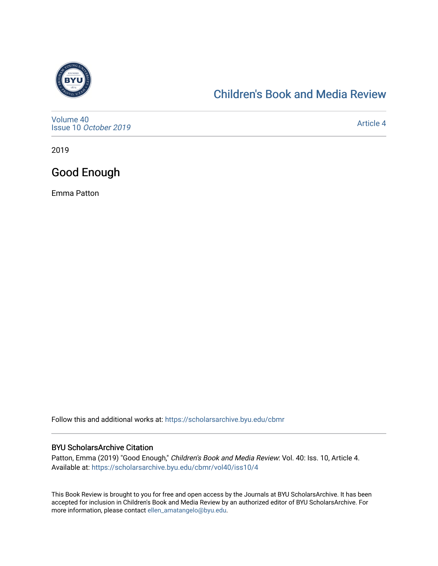

# [Children's Book and Media Review](https://scholarsarchive.byu.edu/cbmr)

[Volume 40](https://scholarsarchive.byu.edu/cbmr/vol40) Issue 10 [October 2019](https://scholarsarchive.byu.edu/cbmr/vol40/iss10)

[Article 4](https://scholarsarchive.byu.edu/cbmr/vol40/iss10/4) 

2019

# Good Enough

Emma Patton

Follow this and additional works at: [https://scholarsarchive.byu.edu/cbmr](https://scholarsarchive.byu.edu/cbmr?utm_source=scholarsarchive.byu.edu%2Fcbmr%2Fvol40%2Fiss10%2F4&utm_medium=PDF&utm_campaign=PDFCoverPages) 

#### BYU ScholarsArchive Citation

Patton, Emma (2019) "Good Enough," Children's Book and Media Review: Vol. 40: Iss. 10, Article 4. Available at: [https://scholarsarchive.byu.edu/cbmr/vol40/iss10/4](https://scholarsarchive.byu.edu/cbmr/vol40/iss10/4?utm_source=scholarsarchive.byu.edu%2Fcbmr%2Fvol40%2Fiss10%2F4&utm_medium=PDF&utm_campaign=PDFCoverPages)

This Book Review is brought to you for free and open access by the Journals at BYU ScholarsArchive. It has been accepted for inclusion in Children's Book and Media Review by an authorized editor of BYU ScholarsArchive. For more information, please contact [ellen\\_amatangelo@byu.edu.](mailto:ellen_amatangelo@byu.edu)